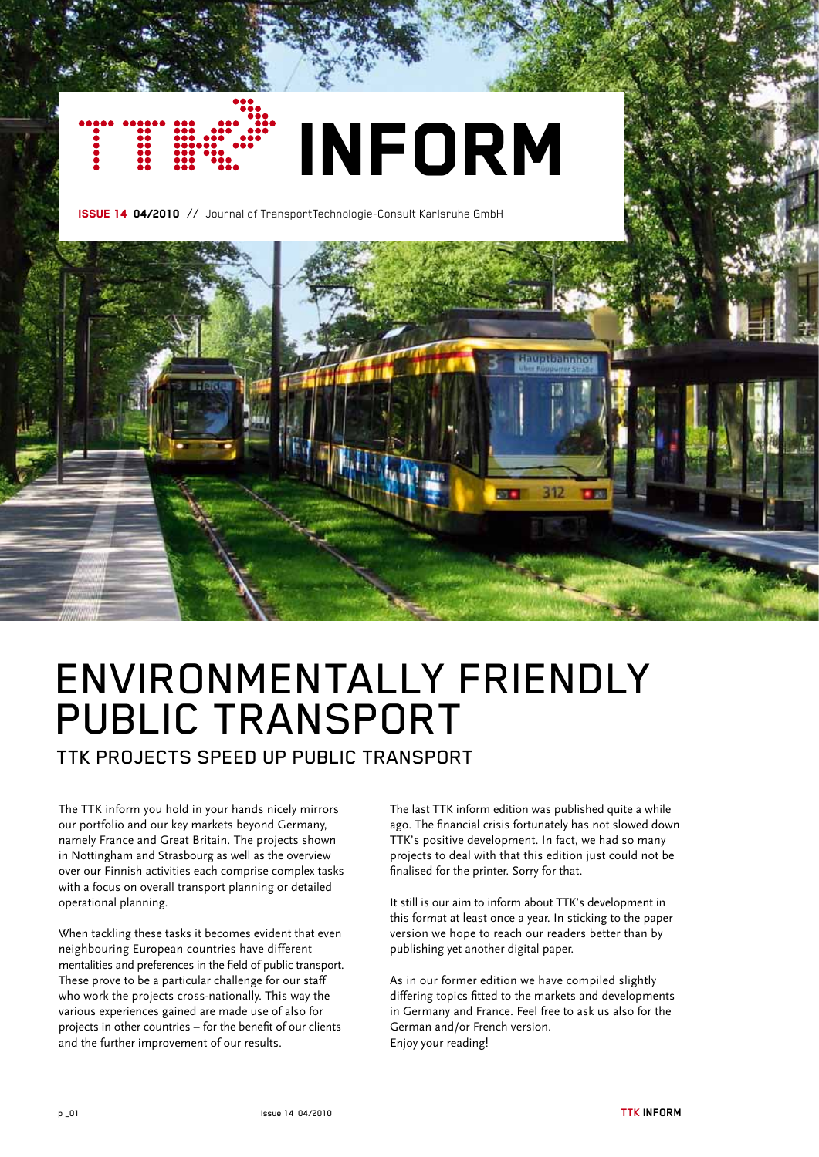# **INFORM**

Issue 14 04/2010 // Journal of TransportTechnologie-Consult Karlsruhe GmbH



## Environmentally friendly Public Transport

TTK projects speed up public transport

The TTK inform you hold in your hands nicely mirrors our portfolio and our key markets beyond Germany, namely France and Great Britain. The projects shown in Nottingham and Strasbourg as well as the overview over our Finnish activities each comprise complex tasks with a focus on overall transport planning or detailed operational planning.

When tackling these tasks it becomes evident that even neighbouring European countries have different mentalities and preferences in the field of public transport. These prove to be a particular challenge for our staff who work the projects cross-nationally. This way the various experiences gained are made use of also for projects in other countries – for the benefit of our clients and the further improvement of our results.

The last TTK inform edition was published quite a while ago. The financial crisis fortunately has not slowed down TTK's positive development. In fact, we had so many projects to deal with that this edition just could not be finalised for the printer. Sorry for that.

It still is our aim to inform about TTK's development in this format at least once a year. In sticking to the paper version we hope to reach our readers better than by publishing yet another digital paper.

As in our former edition we have compiled slightly differing topics fitted to the markets and developments in Germany and France. Feel free to ask us also for the German and/or French version. Enjoy your reading!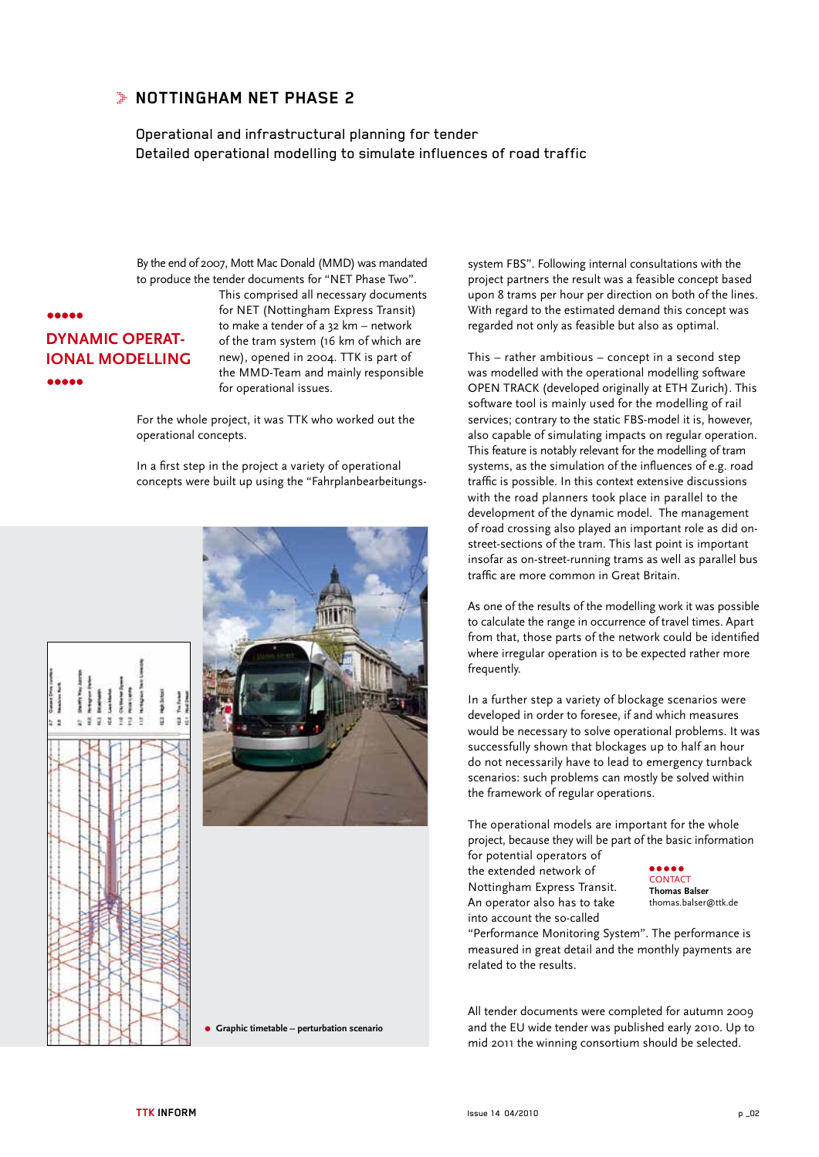#### **NOTTINGHAM NET PHASE 2**

Operational and infrastructural planning for tender Detailed operational modelling to simulate influences of road traffic

By the end of 2007, Mott Mac Donald (MMD) was mandated to produce the tender documents for "NET Phase Two".

#### **AAAAA dynamic operational modelling** ----

This comprised all necessary documents for NET (Nottingham Express Transit) to make a tender of a 32 km – network of the tram system (16 km of which are new), opened in 2004. TTK is part of the MMD-Team and mainly responsible for operational issues.

For the whole project, it was TTK who worked out the operational concepts.

In a first step in the project a variety of operational concepts were built up using the "Fahrplanbearbeitungs-





**Graphic timetable – perturbation scenario**

system FBS". Following internal consultations with the project partners the result was a feasible concept based upon 8 trams per hour per direction on both of the lines. With regard to the estimated demand this concept was regarded not only as feasible but also as optimal.

This – rather ambitious – concept in a second step was modelled with the operational modelling software OPEN TRACK (developed originally at ETH Zurich). This software tool is mainly used for the modelling of rail services; contrary to the static FBS-model it is, however, also capable of simulating impacts on regular operation. This feature is notably relevant for the modelling of tram systems, as the simulation of the influences of e.g. road traffic is possible. In this context extensive discussions with the road planners took place in parallel to the development of the dynamic model. The management of road crossing also played an important role as did onstreet-sections of the tram. This last point is important insofar as on-street-running trams as well as parallel bus traffic are more common in Great Britain.

As one of the results of the modelling work it was possible to calculate the range in occurrence of travel times. Apart from that, those parts of the network could be identified where irregular operation is to be expected rather more frequently.

In a further step a variety of blockage scenarios were developed in order to foresee, if and which measures would be necessary to solve operational problems. It was successfully shown that blockages up to half an hour do not necessarily have to lead to emergency turnback scenarios: such problems can mostly be solved within the framework of regular operations.

The operational models are important for the whole project, because they will be part of the basic information

for potential operators of the extended network of Nottingham Express Transit. An operator also has to take into account the so-called

**CONTACT Thomas Balser** thomas.balser@ttk.de

"Performance Monitoring System". The performance is measured in great detail and the monthly payments are related to the results.

All tender documents were completed for autumn 2009 and the EU wide tender was published early 2010. Up to mid 2011 the winning consortium should be selected.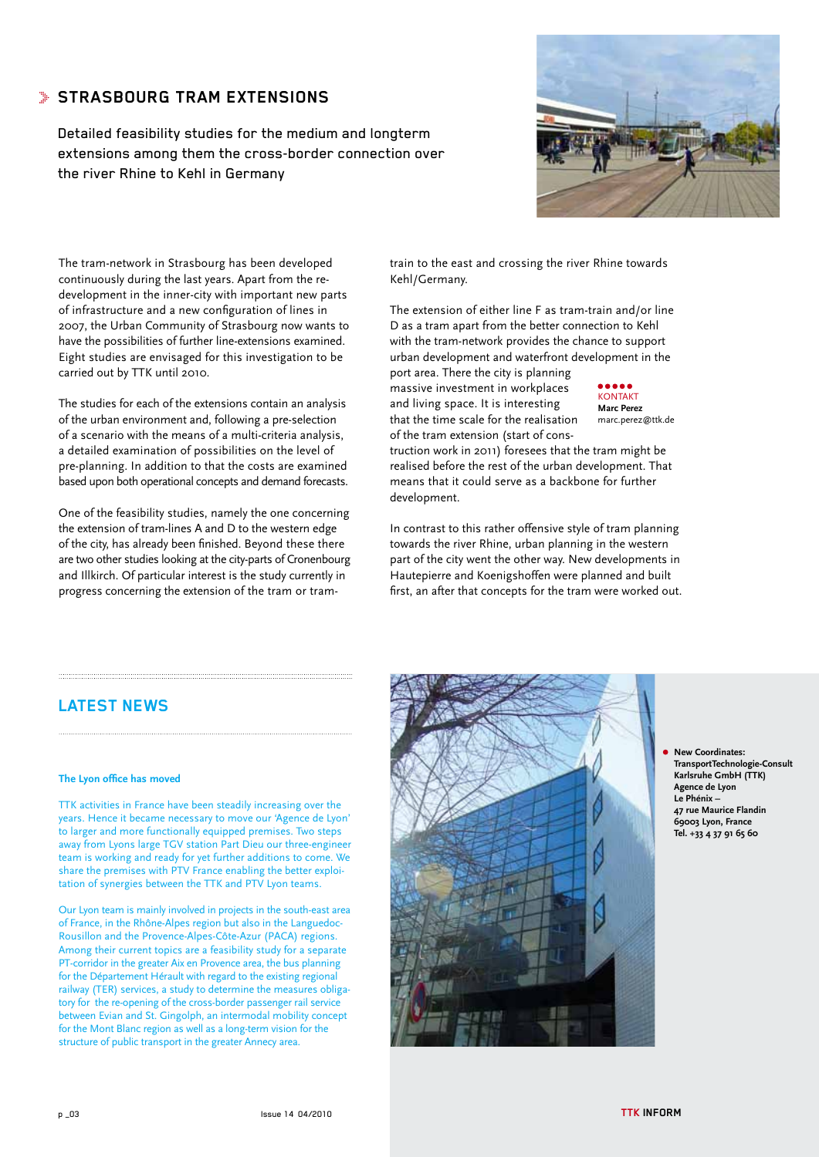### **STRASBOURG TRAM EXTENSIONS**

Detailed feasibility studies for the medium and longterm extensions among them the cross-border connection over the river Rhine to Kehl in Germany



The tram-network in Strasbourg has been developed continuously during the last years. Apart from the redevelopment in the inner-city with important new parts of infrastructure and a new configuration of lines in 2007, the Urban Community of Strasbourg now wants to have the possibilities of further line-extensions examined. Eight studies are envisaged for this investigation to be carried out by TTK until 2010.

The studies for each of the extensions contain an analysis of the urban environment and, following a pre-selection of a scenario with the means of a multi-criteria analysis, a detailed examination of possibilities on the level of pre-planning. In addition to that the costs are examined based upon both operational concepts and demand forecasts.

One of the feasibility studies, namely the one concerning the extension of tram-lines A and D to the western edge of the city, has already been finished. Beyond these there are two other studies looking at the city-parts of Cronenbourg and Illkirch. Of particular interest is the study currently in progress concerning the extension of the tram or tramtrain to the east and crossing the river Rhine towards Kehl/Germany.

The extension of either line F as tram-train and/or line D as a tram apart from the better connection to Kehl with the tram-network provides the chance to support urban development and waterfront development in the

port area. There the city is planning massive investment in workplaces and living space. It is interesting that the time scale for the realisation of the tram extension (start of cons-

KONTAKT **Marc Perez** marc.perez@ttk.de

truction work in 2011) foresees that the tram might be realised before the rest of the urban development. That means that it could serve as a backbone for further development.

In contrast to this rather offensive style of tram planning towards the river Rhine, urban planning in the western part of the city went the other way. New developments in Hautepierre and Koenigshoffen were planned and built first, an after that concepts for the tram were worked out.

#### **Latest news**

#### **The Lyon office has moved**

TTK activities in France have been steadily increasing over the years. Hence it became necessary to move our 'Agence de Lyon' to larger and more functionally equipped premises. Two steps away from Lyons large TGV station Part Dieu our three-engineer team is working and ready for yet further additions to come. We share the premises with PTV France enabling the better exploitation of synergies between the TTK and PTV Lyon teams.

Our Lyon team is mainly involved in projects in the south-east area of France, in the Rhône-Alpes region but also in the Languedoc-Rousillon and the Provence-Alpes-Côte-Azur (PACA) regions. Among their current topics are a feasibility study for a separate PT-corridor in the greater Aix en Provence area, the bus planning for the Département Hérault with regard to the existing regional railway (TER) services, a study to determine the measures obligatory for the re-opening of the cross-border passenger rail service between Evian and St. Gingolph, an intermodal mobility concept for the Mont Blanc region as well as a long-term vision for the structure of public transport in the greater Annecy area.



**New Coordinates: TransportTechnologie-Consult Karlsruhe GmbH (TTK) Agence de Lyon Le Phénix – 47 rue Maurice Flandin 69003 Lyon, France Tel. +33 4 37 91 65 60**